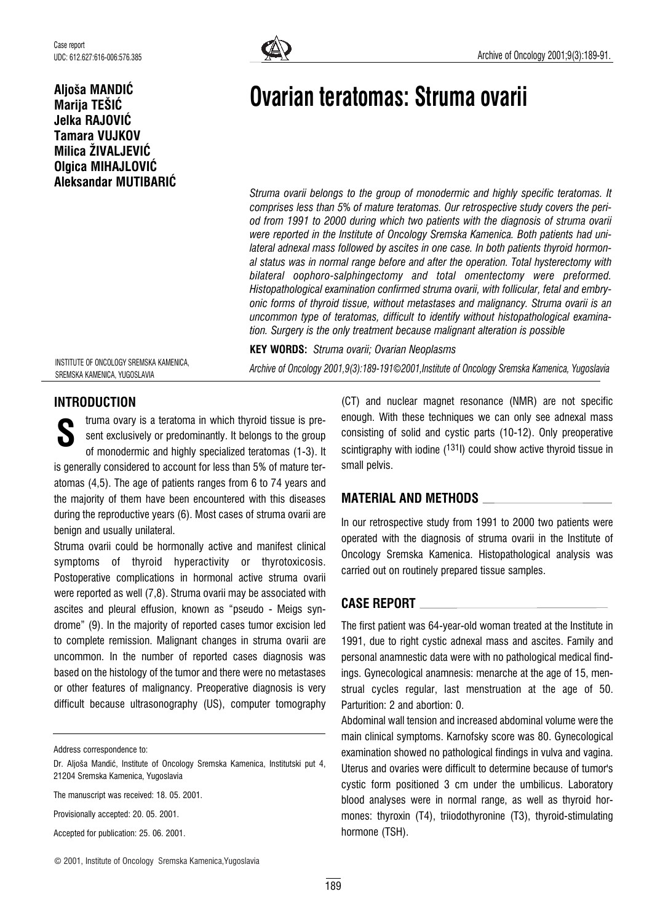# Aljoša MANDIĆ Marija TEŠIĆ Jelka RAJOVIĆ Tamara VUJKOV Milica ŽIVALJEVIĆ Olgica MIHAJLOVIĆ Aleksandar MUTIBARIĆ



# Ovarian teratomas: Struma ovarii

Struma ovarii belongs to the group of monodermic and highly specific teratomas. It comprises less than 5% of mature teratomas. Our retrospective study covers the period from 1991 to 2000 during which two patients with the diagnosis of struma ovarii were reported in the Institute of Oncology Sremska Kamenica. Both patients had unilateral adnexal mass followed by ascites in one case. In both patients thyroid hormonal status was in normal range before and after the operation. Total hysterectomy with bilateral oophoro-salphingectomy and total omentectomy were preformed. Histopathological examination confirmed struma ovarii, with follicular, fetal and embryonic forms of thyroid tissue, without metastases and malignancy. Struma ovarii is an uncommon type of teratomas, difficult to identify without histopathological examination. Surgery is the only treatment because malignant alteration is possible

KEY WORDS: Struma ovarii; Ovarian Neoplasms Archive of Oncology 2001,9(3):189-191*©*2001,Institute of Oncology Sremska Kamenica, Yugoslavia

INSTITUTE OF ONCOLOGY SREMSKA KAMENICA, SREMSKA KAMENICA, YUGOSLAVIA

# INTRODUCTION

truma ovary is a teratoma in which thyroid tissue is present exclusively or predominantly. It belongs to the group of monodermic and highly specialized teratomas (1-3). It is generally considered to account for less than 5% of mature teratomas (4,5). The age of patients ranges from 6 to 74 years and the majority of them have been encountered with this diseases during the reproductive years (6). Most cases of struma ovarii are benign and usually unilateral. **S** 

Struma ovarii could be hormonally active and manifest clinical symptoms of thyroid hyperactivity or thyrotoxicosis. Postoperative complications in hormonal active struma ovarii were reported as well (7,8). Struma ovarii may be associated with ascites and pleural effusion, known as "pseudo - Meigs syndrome" (9). In the majority of reported cases tumor excision led to complete remission. Malignant changes in struma ovarii are uncommon. In the number of reported cases diagnosis was based on the histology of the tumor and there were no metastases or other features of malignancy. Preoperative diagnosis is very difficult because ultrasonography (US), computer tomography

Address correspondence to:

The manuscript was received: 18. 05. 2001.

Provisionally accepted: 20. 05. 2001.

Accepted for publication: 25. 06. 2001.

(CT) and nuclear magnet resonance (NMR) are not specific enough. With these techniques we can only see adnexal mass consisting of solid and cystic parts (10-12). Only preoperative scintigraphy with iodine  $(131)$  could show active thyroid tissue in small pelvis.

# MATERIAL AND METHODS

In our retrospective study from 1991 to 2000 two patients were operated with the diagnosis of struma ovarii in the Institute of Oncology Sremska Kamenica. Histopathological analysis was carried out on routinely prepared tissue samples.

# CASE REPORT

The first patient was 64-year-old woman treated at the Institute in 1991, due to right cystic adnexal mass and ascites. Family and personal anamnestic data were with no pathological medical findings. Gynecological anamnesis: menarche at the age of 15, menstrual cycles regular, last menstruation at the age of 50. Parturition: 2 and abortion: 0.

Abdominal wall tension and increased abdominal volume were the main clinical symptoms. Karnofsky score was 80. Gynecological examination showed no pathological findings in vulva and vagina. Uterus and ovaries were difficult to determine because of tumor's cystic form positioned 3 cm under the umbilicus. Laboratory blood analyses were in normal range, as well as thyroid hormones: thyroxin (T4), triiodothyronine (T3), thyroid-stimulating hormone (TSH).

Dr. Aljoša Mandić, Institute of Oncology Sremska Kamenica, Institutski put 4, 21204 Sremska Kamenica, Yugoslavia

<sup>©</sup> 2001, Institute of Oncology Sremska Kamenica,Yugoslavia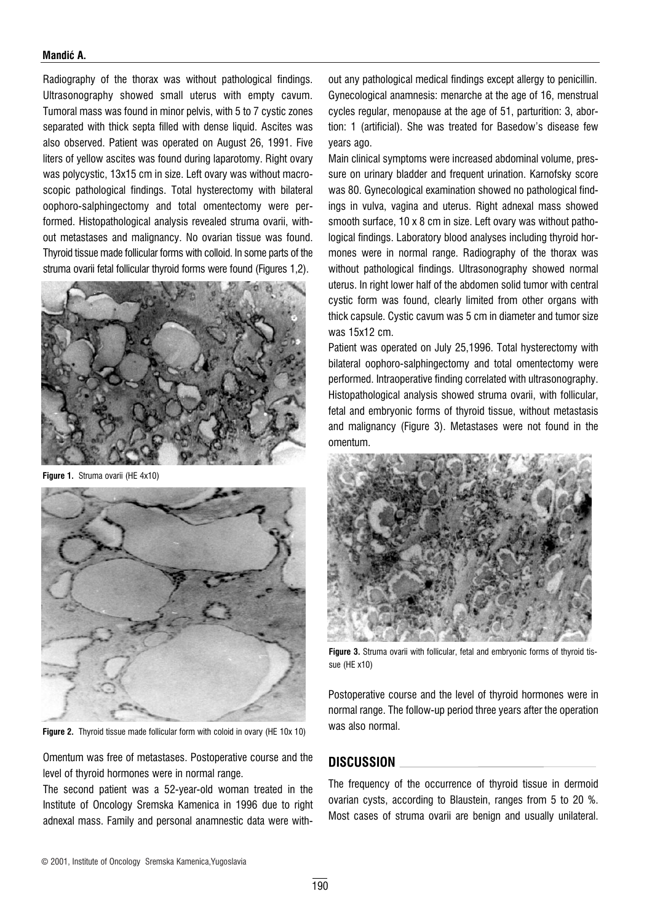#### Mandić A.

Radiography of the thorax was without pathological findings. Ultrasonography showed small uterus with empty cavum. Tumoral mass was found in minor pelvis, with 5 to 7 cystic zones separated with thick septa filled with dense liquid. Ascites was also observed. Patient was operated on August 26, 1991. Five liters of yellow ascites was found during laparotomy. Right ovary was polycystic, 13x15 cm in size. Left ovary was without macroscopic pathological findings. Total hysterectomy with bilateral oophoro-salphingectomy and total omentectomy were performed. Histopathological analysis revealed struma ovarii, without metastases and malignancy. No ovarian tissue was found. Thyroid tissue made follicular forms with colloid. In some parts of the struma ovarii fetal follicular thyroid forms were found (Figures 1,2).



Figure 1. Struma ovarii (HE 4x10)



Figure 2. Thyroid tissue made follicular form with coloid in ovary (HE 10x 10)

Omentum was free of metastases. Postoperative course and the level of thyroid hormones were in normal range.

The second patient was a 52-year-old woman treated in the Institute of Oncology Sremska Kamenica in 1996 due to right adnexal mass. Family and personal anamnestic data were without any pathological medical findings except allergy to penicillin. Gynecological anamnesis: menarche at the age of 16, menstrual cycles regular, menopause at the age of 51, parturition: 3, abortion: 1 (artificial). She was treated for Basedow's disease few years ago.

Main clinical symptoms were increased abdominal volume, pressure on urinary bladder and frequent urination. Karnofsky score was 80. Gynecological examination showed no pathological findings in vulva, vagina and uterus. Right adnexal mass showed smooth surface, 10 x 8 cm in size. Left ovary was without pathological findings. Laboratory blood analyses including thyroid hormones were in normal range. Radiography of the thorax was without pathological findings. Ultrasonography showed normal uterus. In right lower half of the abdomen solid tumor with central cystic form was found, clearly limited from other organs with thick capsule. Cystic cavum was 5 cm in diameter and tumor size was 15x12 cm.

Patient was operated on July 25,1996. Total hysterectomy with bilateral oophoro-salphingectomy and total omentectomy were performed. Intraoperative finding correlated with ultrasonography. Histopathological analysis showed struma ovarii, with follicular, fetal and embryonic forms of thyroid tissue, without metastasis and malignancy (Figure 3). Metastases were not found in the omentum.



Figure 3. Struma ovarii with follicular, fetal and embryonic forms of thyroid tissue (HE x10)

Postoperative course and the level of thyroid hormones were in normal range. The follow-up period three years after the operation was also normal.

### DISCUSSION

The frequency of the occurrence of thyroid tissue in dermoid ovarian cysts, according to Blaustein, ranges from 5 to 20 %. Most cases of struma ovarii are benign and usually unilateral.